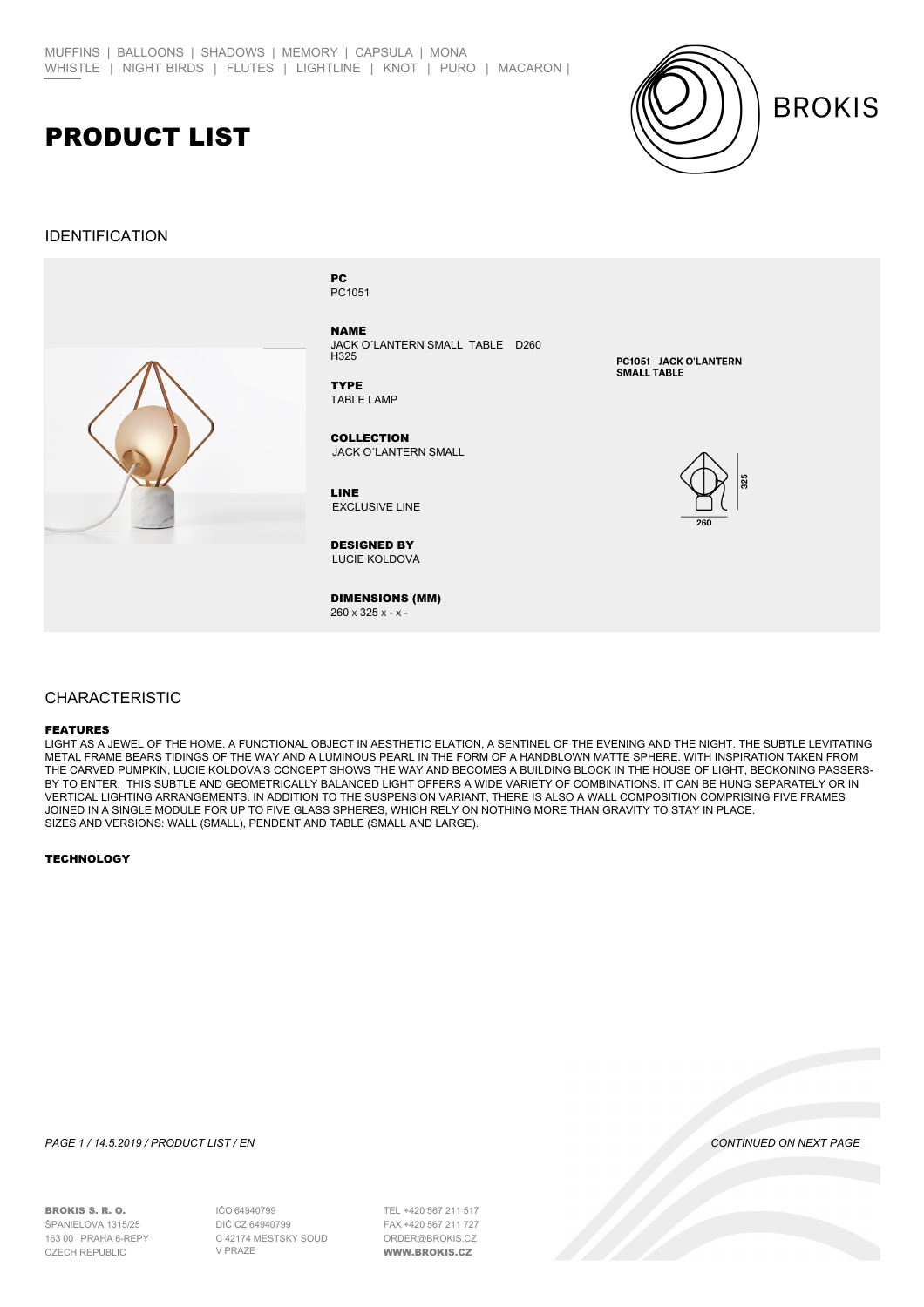## PRODUCT LIST

## IDENTIFICATION



PC1051 PC

NAME JACK O´LANTERN SMALL TABLE D260  $H325$ 

TABLE LAMP **TYPE** 

JACK O´LANTERN SMALL **COLLECTION** 

EXCLUSIVE LINE LINE

LUCIE KOLDOVÁ DESIGNED BY

DIMENSIONS (MM)  $260 \times 325 \times - \times -$ 

PC1051 - JACK O'LANTERN SMALL TARLE



**BROKIS** 

### CHARACTERISTIC

#### FEATURES

LIGHT AS A JEWEL OF THE HOME. A FUNCTIONAL OBJECT IN AESTHETIC ELATION, A SENTINEL OF THE EVENING AND THE NIGHT. THE SUBTLE LEVITATING METAL FRAME BEARS TIDINGS OF THE WAY AND A LUMINOUS PEARL IN THE FORM OF A HANDBLOWN MATTE SPHERE. WITH INSPIRATION TAKEN FROM THE CARVED PUMPKIN, LUCIE KOLDOVA'S CONCEPT SHOWS THE WAY AND BECOMES A BUILDING BLOCK IN THE HOUSE OF LIGHT, BECKONING PASSERS-BY TO ENTER. THIS SUBTLE AND GEOMETRICALLY BALANCED LIGHT OFFERS A WIDE VARIETY OF COMBINATIONS. IT CAN BE HUNG SEPARATELY OR IN VERTICAL LIGHTING ARRANGEMENTS. IN ADDITION TO THE SUSPENSION VARIANT, THERE IS ALSO A WALL COMPOSITION COMPRISING FIVE FRAMES JOINED IN A SINGLE MODULE FOR UP TO FIVE GLASS SPHERES, WHICH RELY ON NOTHING MORE THAN GRAVITY TO STAY IN PLACE. SIZES AND VERSIONS: WALL (SMALL), PENDENT AND TABLE (SMALL AND LARGE).

#### **TECHNOLOGY**

BROKIS S. R. O. ŠPANIELOVA 1315/25 163 00 PRAHA 6-ŘEPY

*PAGE 1 / 14.5.2019 / PRODUCT LIST / EN CONTINUED ON NEXT PAGE*

64940799 IČO DIĆ CZ 64940799 C 42174 MĚSTSKÝ SOUD V PRAZE CZECH REPUBLIC WWW.BROKIS.CZ

+420 567 211 517 TEL +420 567 211 727 FAXORDER@BROKIS.CZ